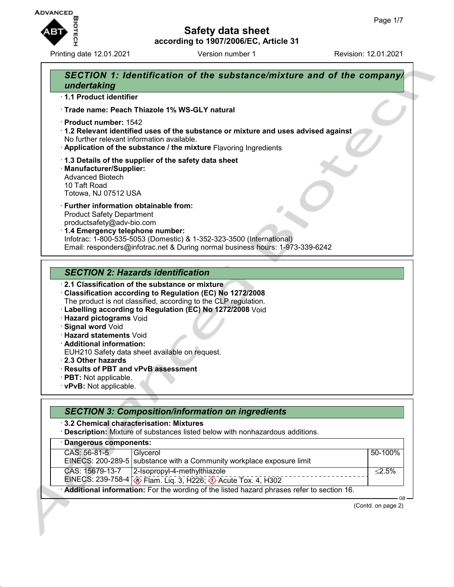

Printing date 12.01.2021 **Version number 1** Revision: 12.01.2021



- · **Hazard statements** Void
- · **Additional information:**
- EUH210 Safety data sheet available on request.
- · **2.3 Other hazards**
- · **Results of PBT and vPvB assessment**
- · **PBT:** Not applicable.
- · **vPvB:** Not applicable.

| 3.2 Chemical characterisation: Mixtures | · Description: Mixture of substances listed below with nonhazardous additions.                              |           |
|-----------------------------------------|-------------------------------------------------------------------------------------------------------------|-----------|
| Dangerous components:                   |                                                                                                             |           |
| CAS: 56-81-5                            | Glycerol<br>EINECS: 200-289-5 substance with a Community workplace exposure limit                           | 50-100%   |
| CAS: 15679-13-7                         | 2-Isopropyl-4-methylthiazole<br>EINECS: 239-758-4 <b>&amp; Flam. Liq. 3, H226; 4&gt;</b> Acute Tox. 4, H302 | $< 2.5\%$ |

(Contd. on page 2)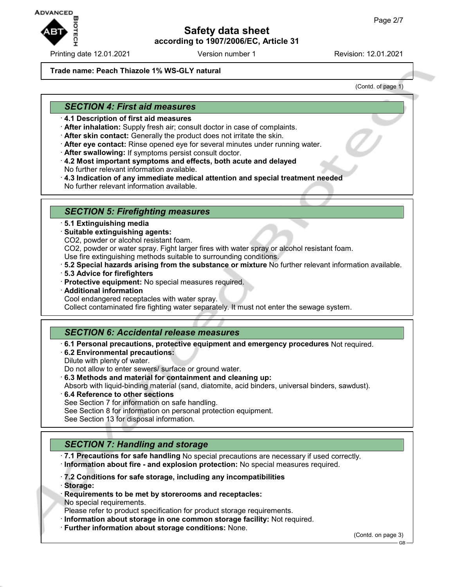

Printing date 12.01.2021 Version number 1 Revision: 12.01.2021

### **Trade name: Peach Thiazole 1% WS-GLY natural**

(Contd. of page 1)

## *SECTION 4: First aid measures*

- · **4.1 Description of first aid measures**
- · **After inhalation:** Supply fresh air; consult doctor in case of complaints.
- · **After skin contact:** Generally the product does not irritate the skin.
- · **After eye contact:** Rinse opened eye for several minutes under running water.
- · **After swallowing:** If symptoms persist consult doctor.
- · **4.2 Most important symptoms and effects, both acute and delayed** No further relevant information available.
- · **4.3 Indication of any immediate medical attention and special treatment needed** No further relevant information available.

### *SECTION 5: Firefighting measures*

- · **5.1 Extinguishing media**
- · **Suitable extinguishing agents:**
- CO2, powder or alcohol resistant foam.

CO2, powder or water spray. Fight larger fires with water spray or alcohol resistant foam.

- Use fire extinguishing methods suitable to surrounding conditions.
- · **5.2 Special hazards arising from the substance or mixture** No further relevant information available.
- · **5.3 Advice for firefighters**
- · **Protective equipment:** No special measures required.
- · **Additional information**

Cool endangered receptacles with water spray.

Collect contaminated fire fighting water separately. It must not enter the sewage system.

### *SECTION 6: Accidental release measures*

- · **6.1 Personal precautions, protective equipment and emergency procedures** Not required.
- · **6.2 Environmental precautions:**
- Dilute with plenty of water. Do not allow to enter sewers/ surface or ground water.
- · **6.3 Methods and material for containment and cleaning up:**

Absorb with liquid-binding material (sand, diatomite, acid binders, universal binders, sawdust).

- · **6.4 Reference to other sections** See Section 7 for information on safe handling. See Section 8 for information on personal protection equipment.
- See Section 13 for disposal information.

## *SECTION 7: Handling and storage*

· **7.1 Precautions for safe handling** No special precautions are necessary if used correctly. · **Information about fire - and explosion protection:** No special measures required.

- · **7.2 Conditions for safe storage, including any incompatibilities**
- · **Storage:**
- · **Requirements to be met by storerooms and receptacles:**
- No special requirements.

Please refer to product specification for product storage requirements.

- · **Information about storage in one common storage facility:** Not required.
- · **Further information about storage conditions:** None.

(Contd. on page 3)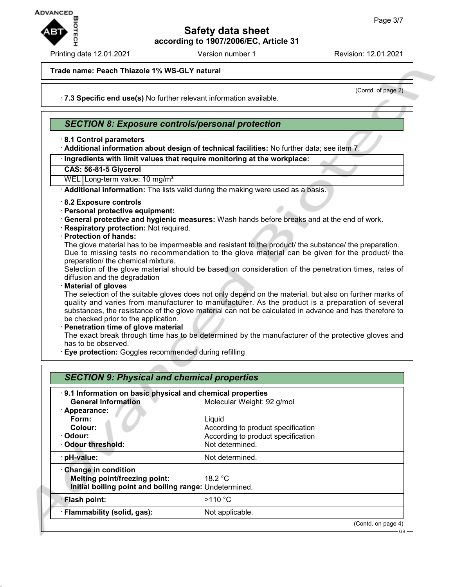

Printing date 12.01.2021 **Version number 1** Revision: 12.01.2021

(Contd. of page 2)

### **Trade name: Peach Thiazole 1% WS-GLY natural**

· **7.3 Specific end use(s)** No further relevant information available.

### *SECTION 8: Exposure controls/personal protection*

### · **8.1 Control parameters**

· **Additional information about design of technical facilities:** No further data; see item 7.

### · **Ingredients with limit values that require monitoring at the workplace:**

**CAS: 56-81-5 Glycerol**

WEL Long-term value: 10 mg/m<sup>3</sup>

· **Additional information:** The lists valid during the making were used as a basis.

### · **8.2 Exposure controls**

- · **Personal protective equipment:**
- · **General protective and hygienic measures:** Wash hands before breaks and at the end of work.
- · **Respiratory protection:** Not required.

### · **Protection of hands:**

The glove material has to be impermeable and resistant to the product/ the substance/ the preparation. Due to missing tests no recommendation to the glove material can be given for the product/ the preparation/ the chemical mixture.

Selection of the glove material should be based on consideration of the penetration times, rates of diffusion and the degradation

#### · **Material of gloves**

The selection of the suitable gloves does not only depend on the material, but also on further marks of quality and varies from manufacturer to manufacturer. As the product is a preparation of several substances, the resistance of the glove material can not be calculated in advance and has therefore to be checked prior to the application.

#### · **Penetration time of glove material**

The exact break through time has to be determined by the manufacturer of the protective gloves and has to be observed.

· **Eye protection:** Goggles recommended during refilling

| 9.1 Information on basic physical and chemical properties |                                    |  |
|-----------------------------------------------------------|------------------------------------|--|
| <b>General Information</b>                                | Molecular Weight: 92 g/mol         |  |
| · Appearance:                                             |                                    |  |
| Form:                                                     | Liquid                             |  |
| Colour:                                                   | According to product specification |  |
| · Odour:                                                  | According to product specification |  |
| · Odour threshold:                                        | Not determined.                    |  |
| · pH-value:                                               | Not determined.                    |  |
| Change in condition                                       |                                    |  |
| <b>Melting point/freezing point:</b>                      | 18.2 $\degree$ C                   |  |
| Initial boiling point and boiling range: Undetermined.    |                                    |  |
| · Flash point:                                            | $>110$ °C                          |  |
| · Flammability (solid, gas):                              | Not applicable.                    |  |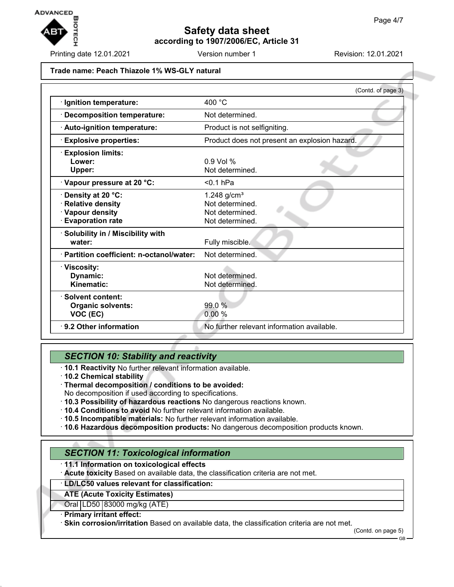

Printing date 12.01.2021 **Version number 1** Revision: 12.01.2021

#### **Trade name: Peach Thiazole 1% WS-GLY natural**

|                                                                                             | (Contd. of page 3)                                                        |
|---------------------------------------------------------------------------------------------|---------------------------------------------------------------------------|
| · Ignition temperature:                                                                     | 400 $^{\circ}$ C                                                          |
| · Decomposition temperature:                                                                | Not determined.                                                           |
| · Auto-ignition temperature:                                                                | Product is not selfigniting.                                              |
| <b>Explosive properties:</b>                                                                | Product does not present an explosion hazard.                             |
| <b>Explosion limits:</b><br>Lower:<br><b>Upper:</b>                                         | $0.9$ Vol %<br>Not determined.                                            |
| Vapour pressure at 20 °C:                                                                   | $0.1$ hPa                                                                 |
| Density at 20 °C:<br><b>Relative density</b><br>· Vapour density<br><b>Evaporation rate</b> | 1.248 $g/cm^{3}$<br>Not determined.<br>Not determined.<br>Not determined. |
| · Solubility in / Miscibility with<br>water:                                                | Fully miscible.                                                           |
| · Partition coefficient: n-octanol/water:                                                   | Not determined.                                                           |
| · Viscosity:<br>Dynamic:<br>Kinematic:                                                      | Not determined.<br>Not determined.                                        |
| · Solvent content:<br><b>Organic solvents:</b><br>VOC (EC)                                  | 99.0 %<br>0.00%                                                           |
| ⋅ 9.2 Other information                                                                     | No further relevant information available.                                |

## *SECTION 10: Stability and reactivity*

- · **10.1 Reactivity** No further relevant information available.
- · **10.2 Chemical stability**
- · **Thermal decomposition / conditions to be avoided:**
- No decomposition if used according to specifications.
- · **10.3 Possibility of hazardous reactions** No dangerous reactions known.
- · **10.4 Conditions to avoid** No further relevant information available.
- · **10.5 Incompatible materials:** No further relevant information available.
- · **10.6 Hazardous decomposition products:** No dangerous decomposition products known.

## *SECTION 11: Toxicological information*

### · **11.1 Information on toxicological effects**

· **Acute toxicity** Based on available data, the classification criteria are not met.

#### · **LD/LC50 values relevant for classification:**

### **ATE (Acute Toxicity Estimates)**

Oral LD50 83000 mg/kg (ATE)

#### · **Primary irritant effect:**

· **Skin corrosion/irritation** Based on available data, the classification criteria are not met.

(Contd. on page 5)

GB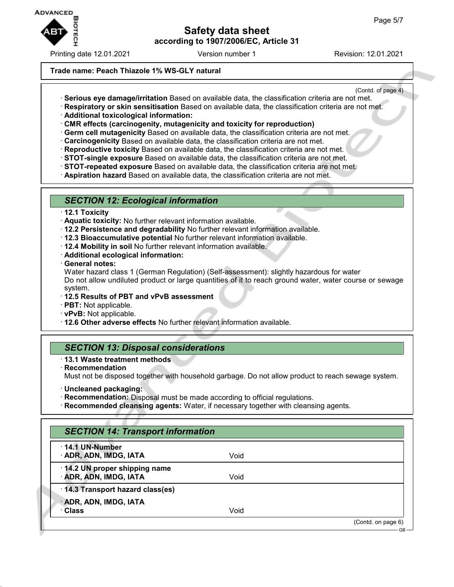

Printing date 12.01.2021 **Version number 1** Revision: 12.01.2021

(Contd. of page 4)

### **Trade name: Peach Thiazole 1% WS-GLY natural**

- · **Serious eye damage/irritation** Based on available data, the classification criteria are not met.
- · **Respiratory or skin sensitisation** Based on available data, the classification criteria are not met.
- · **Additional toxicological information:**
- · **CMR effects (carcinogenity, mutagenicity and toxicity for reproduction)**
- · **Germ cell mutagenicity** Based on available data, the classification criteria are not met.
- · **Carcinogenicity** Based on available data, the classification criteria are not met.
- · **Reproductive toxicity** Based on available data, the classification criteria are not met.
- · **STOT-single exposure** Based on available data, the classification criteria are not met.
- · **STOT-repeated exposure** Based on available data, the classification criteria are not met.
- · **Aspiration hazard** Based on available data, the classification criteria are not met.

### *SECTION 12: Ecological information*

- · **12.1 Toxicity**
- · **Aquatic toxicity:** No further relevant information available.
- · **12.2 Persistence and degradability** No further relevant information available.
- · **12.3 Bioaccumulative potential** No further relevant information available.
- · **12.4 Mobility in soil** No further relevant information available.
- · **Additional ecological information:**
- · **General notes:**

Water hazard class 1 (German Regulation) (Self-assessment): slightly hazardous for water Do not allow undiluted product or large quantities of it to reach ground water, water course or sewage system.

- · **12.5 Results of PBT and vPvB assessment**
- · **PBT:** Not applicable.
- · **vPvB:** Not applicable.
- · **12.6 Other adverse effects** No further relevant information available.

### *SECTION 13: Disposal considerations*

- · **13.1 Waste treatment methods**
- · **Recommendation** Must not be disposed together with household garbage. Do not allow product to reach sewage system.
- · **Uncleaned packaging:**
- · **Recommendation:** Disposal must be made according to official regulations.
- · **Recommended cleansing agents:** Water, if necessary together with cleansing agents.

| 14.1 UN-Number                    |      |  |
|-----------------------------------|------|--|
| · ADR, ADN, IMDG, IATA            | Void |  |
| 14.2 UN proper shipping name      |      |  |
| · ADR, ADN, IMDG, IATA            | Void |  |
| · 14.3 Transport hazard class(es) |      |  |
| · ADR, ADN, IMDG, IATA            |      |  |
| <b>Class</b>                      | Void |  |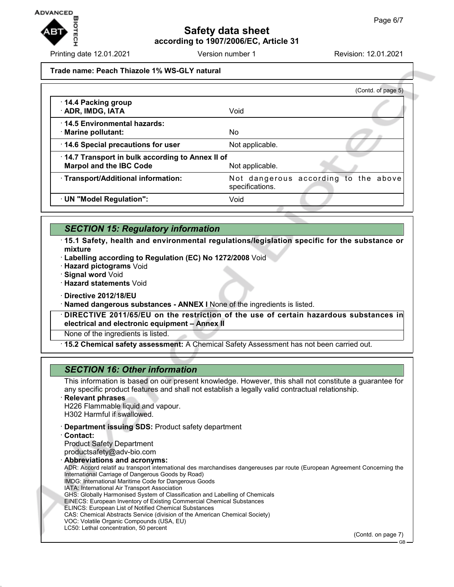

Printing date 12.01.2021 **Version number 1** Revision: 12.01.2021

#### **Trade name: Peach Thiazole 1% WS-GLY natural**

|                                                                                   | (Contd. of page 5)                                      |
|-----------------------------------------------------------------------------------|---------------------------------------------------------|
| 14.4 Packing group<br>· ADR, IMDG, IATA                                           | Void                                                    |
| 14.5 Environmental hazards:<br>· Marine pollutant:                                | No.                                                     |
| 14.6 Special precautions for user                                                 | Not applicable.                                         |
| 14.7 Transport in bulk according to Annex II of<br><b>Marpol and the IBC Code</b> | Not applicable.                                         |
| · Transport/Additional information:                                               | Not dangerous according to the above<br>specifications. |
| · UN "Model Regulation":                                                          | Void                                                    |

## *SECTION 15: Regulatory information*

· **15.1 Safety, health and environmental regulations/legislation specific for the substance or mixture**

- · **Labelling according to Regulation (EC) No 1272/2008** Void
- · **Hazard pictograms** Void
- · **Signal word** Void
- · **Hazard statements** Void
- · **Directive 2012/18/EU**
- · **Named dangerous substances ANNEX I** None of the ingredients is listed.

· **DIRECTIVE 2011/65/EU on the restriction of the use of certain hazardous substances in electrical and electronic equipment – Annex II**

None of the ingredients is listed.

· **15.2 Chemical safety assessment:** A Chemical Safety Assessment has not been carried out.

### *SECTION 16: Other information*

This information is based on our present knowledge. However, this shall not constitute a guarantee for any specific product features and shall not establish a legally valid contractual relationship.

· **Relevant phrases**

H226 Flammable liquid and vapour. H302 Harmful if swallowed.

- · **Department issuing SDS:** Product safety department
- · **Contact:**

Product Safety Department productsafety@adv-bio.com

· **Abbreviations and acronyms:**

ADR: Accord relatif au transport international des marchandises dangereuses par route (European Agreement Concerning the International Carriage of Dangerous Goods by Road) IMDG: International Maritime Code for Dangerous Goods

- IATA: International Air Transport Association
- GHS: Globally Harmonised System of Classification and Labelling of Chemicals
- EINECS: European Inventory of Existing Commercial Chemical Substances
- ELINCS: European List of Notified Chemical Substances
- CAS: Chemical Abstracts Service (division of the American Chemical Society)
- VOC: Volatile Organic Compounds (USA, EU) LC50: Lethal concentration, 50 percent

(Contd. on page 7)

GB